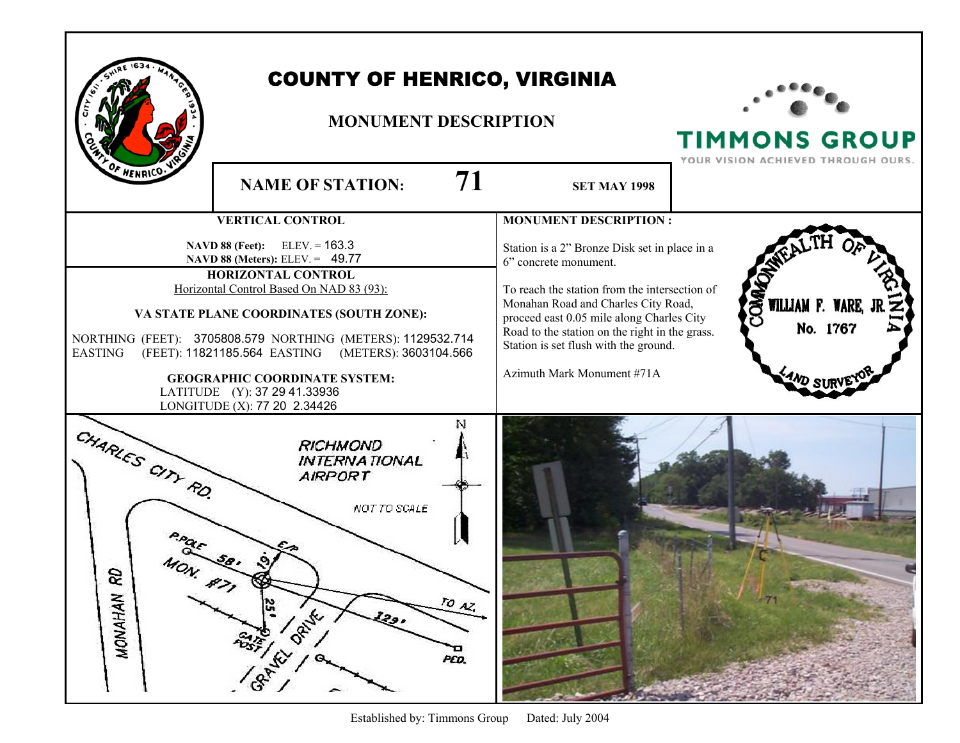|                                                                                                                                                                                                                                                                                                                                                                                                                                   | <b>COUNTY OF HENRICO, VIRGINIA</b><br><b>MONUMENT DESCRIPTION</b>                                          |                                                                                                                                                                                                                                                                                                                                      | <b>TIMMONS GROUP</b><br>YOUR VISION ACHIEVED THROUGH OURS. |
|-----------------------------------------------------------------------------------------------------------------------------------------------------------------------------------------------------------------------------------------------------------------------------------------------------------------------------------------------------------------------------------------------------------------------------------|------------------------------------------------------------------------------------------------------------|--------------------------------------------------------------------------------------------------------------------------------------------------------------------------------------------------------------------------------------------------------------------------------------------------------------------------------------|------------------------------------------------------------|
| OF HENRICO.                                                                                                                                                                                                                                                                                                                                                                                                                       | 71<br><b>NAME OF STATION:</b>                                                                              | <b>SET MAY 1998</b>                                                                                                                                                                                                                                                                                                                  |                                                            |
|                                                                                                                                                                                                                                                                                                                                                                                                                                   | <b>VERTICAL CONTROL</b>                                                                                    | <b>MONUMENT DESCRIPTION:</b>                                                                                                                                                                                                                                                                                                         |                                                            |
| $ELEV = 163.3$<br>NAVD 88 (Feet):<br>NAVD 88 (Meters): ELEV. = 49.77<br>HORIZONTAL CONTROL<br>Horizontal Control Based On NAD 83 (93):<br>VA STATE PLANE COORDINATES (SOUTH ZONE):<br>NORTHING (FEET): 3705808.579 NORTHING (METERS): 1129532.714<br>(FEET): 11821185.564 EASTING (METERS): 3603104.566<br><b>EASTING</b><br><b>GEOGRAPHIC COORDINATE SYSTEM:</b><br>LATITUDE (Y): 37 29 41.33936<br>LONGITUDE (X): 77 20 2.34426 |                                                                                                            | Station is a 2" Bronze Disk set in place in a<br>6" concrete monument.<br>To reach the station from the intersection of<br>Monahan Road and Charles City Road,<br>proceed east 0.05 mile along Charles City<br>Road to the station on the right in the grass.<br>Station is set flush with the ground.<br>Azimuth Mark Monument #71A | OMNO<br>WILLIAM F. WARE, JF<br>No. 1767<br><b>AND SI</b>   |
| CHARLES CITY RO.<br>S<br>MONAHAN                                                                                                                                                                                                                                                                                                                                                                                                  | N<br><b>RICHMOND</b><br><b>INTERNATIONAL</b><br>AIRPORT<br>NOT TO SCALE<br>$\frac{10}{2}$<br>ORIVE<br>PED. |                                                                                                                                                                                                                                                                                                                                      |                                                            |

Г